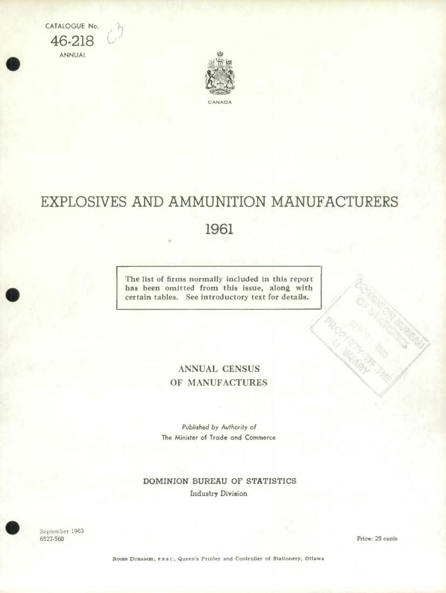CATALOGUE No. 46-218 40-ZI



CANADA

# EXPLOSIVES AND AMMUNITION MANUFACTURERS

# 1961

The list of firms normally included in this report The list of firms normally included in this report<br>has been omitted from this issue, along with<br>contributed from the same of the details certain tables. See introductory text for details.

# ANNUAL CENSUS OF MANUFACTURES

*Published by Authority of*  **The Minister of Trade and Commerce** 

# **DOMINION BUREAU OF STATISTICS**  Industry Division

• September 1963

6527.560 **Price: 25 cents** 

**ROGER DUHAMEL, P.R.S.C., Queen's Printer and Controller of Stationery, Ottawa**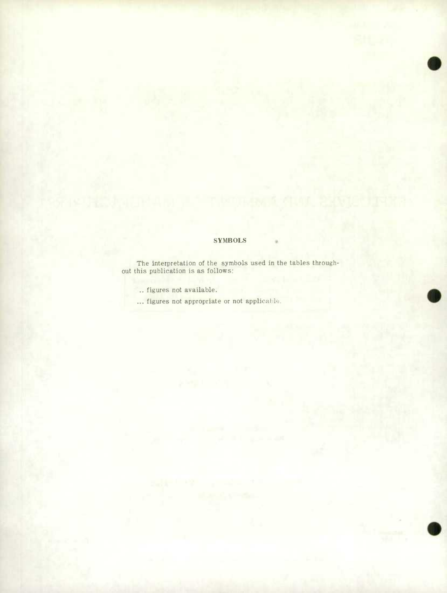### **SYMBOLS**

The interpretation of the symbols used in the tables throughout this publication is as follows:<br>
... figures not available.<br>
... figures not appropriate or not applicable.

 $\bullet$ 

.. figures not available.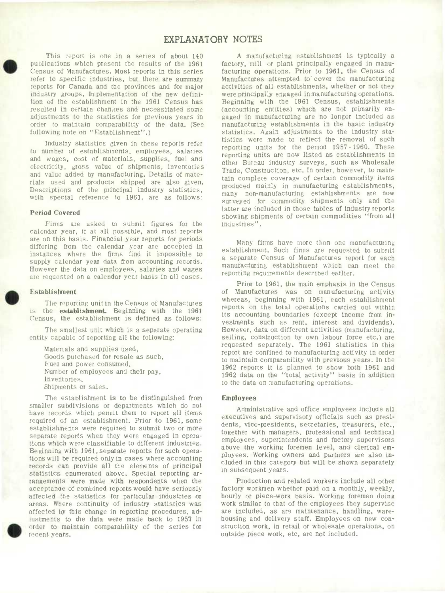## EXPLANATOBY NOTES

This report is one in a series of about 140 publications which present the results of the 1961 Census of Manufactures. Most reports in this series refer to specific industries, but there are summary reports for Canada and the provinces and for major industry groups. Implementation of the new definition of the establishment in the 1961 Census has resulted in certain changes and necessitated some adjustments to the statistics for previous years in order to maintain comparability of the data. (See following note on "Fstablishment".)

Industry statistics given in these reports refer to number of establishments, employees, salaries and wages, cost of materials, supplies, fuel and electricity, gross value of shipments, inventories and value added by manufacturing. Details of materials used and products shipped are also given. Descriptions of the principal industry statistics, with special reference to 1961, are as follows:

#### **Period Covered**

Firms are asked to submit figures for the calendar year, if at all possible, and most reports are on this basis. Financial year reports for periods differing from the calendar year are accepted in instances where the firms find it impossible to supply calendar year data from accounting records. However the data on employees, salaries and wages are requested on a calendar year basis in all cases.

#### **I stablisliment**

The reporting unit in the Census of Manufactures is the **establishment.** Beginning with the 1961 Census, the establishment is defined as follows:

The smallest unit which is a separate operating entity capable of reporting all the following:

Materials and supplies used, Goods purchased for resale as such, Fuel and power consumed, Number of employees and their pay, Inventories, Shipments or sales.

The establishment is to be distinguished from smaller subdivisions or departments which do not have records which permit them to report all items required of an establishment. Prior to 1961, some establishments were required to submit two or more separate reports when they were engaged in operations which were classifiable to different industries. Beginning with 1961, separate reports for such operations will be required only in cases where accounting records can provide all the elements of principal statistics enumerated above. Special reporting arrangements were made with respondents when the acceptanae of combined reports would have seriously affected the statistics for particular industries or areas. Where continuity of industry statistics was affected by this change in reporting procedures, adjustments to the data were made back to 1957 in order to maintain comparability of the series for recent years.

A manufacturing establishment is typically a factory, mill or plant principally engaged in manufacturing operations. Prior to 1961, the Census of Manufactures attempted to' cover the manufacturing activities of all establishments, whether or not they were principally engaged in manufacturing operations. Beginning with the 1961 Census, establishments (accounting entities) which are not primarily engaged in manufacturing are no longer included as manufacturing establishments in the basic industry statistics. Again adjustments to the industry statistics were made to reflect the removal of such reporting units for the period 1957- 1960. These reporting units are now listed as establishments in other Bureau industry surveys, such as Wholesale Trade, Construction, etc. In order, however, to maintain complete coverage of certain commodity items produced mainly in manufacturing establishments, many non-manufacturing establishments are now surveyed for commodity shipments only and the latter are included in those tables of industry reports showing shipments of certain commodities "from all industries".

Many firms have more than one manufacturing establishment. Such firms are requested to submit a separate Census of Manufactures report for each manufacturing establishment which can meet the reporting requirements described earlier.

Prior to 1961, the main emphasis in the Census of Manufactures was on manufacturing activity whereas, beginning with 1961, each establishment reports on the total operations carried out within its accounting boundaries (except income from investments such as rent, interest and dividends). However, data on different activities (manufacturing, selling, construction by own labour force etc.) are requested separately. The 1961 statistics in this report are confined to manufacturing activity in order to maintain comparability with previous years. In the 1962 reports it is planned to show both 1961 and 1962 data on the "total activity" basis in addition to the data on manufacturing operations.

#### **Employees**

Administrative and office employees include all executives and supervisory officials such as presidents, vice-presidents, secretaries, treasurers, etc., together with managers, professional and technical employees, superintendents and factory supervisors above the working foremen level, and clerical employees. Working owners and partners are also included in this category but will be shown separately in subsequent years.

Production and related workers include all other factory workmen whether paid on a monthly, weekly, hourly or piece-work basis. Working foremen doing work similar to that of the employees they supervise are included, as are maintenance, handling, warehousing and delivery staff. Employees on new construction work, in retail or wholesale operations, on outside piece work, etc, are not included.

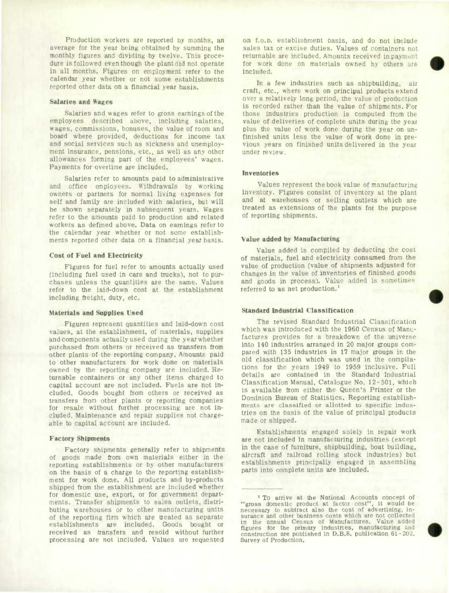Production workers are reported by months, an average for the year being obtained by summing the monthly figures and dividing by twelve. This procedure is followed even though the plant did not operate in all months. Figures on employment refer to the calendar year whether or not some establishments reported other data on a financial year basis.

#### **Salaries and Wages**

Salaries and wages refer to gross earnings of the employees described above, including salaries, wages, commissions, bonuses, the value of room and board where provided, deductions for income tax and social services such as sickness and unemployment insurance, pensions, etc., as well as any other allowances forming part of the employees' wages. Payments for overtime are included.

Salaries refer to amounts paid to administrative and office employees. Withdrawals by working owners or partners for normal living expenses for self and family are included with salaries, but will be shown separately in subsequent years. Wages refer to the amounts paid to production and related workers as defined above. Data on earnings refer to the calendar year whether or not some establishments reported other data on a financial year basis.

#### **Cost of Fuel and Electricity**

Figures for fuel refer to amounts actually used (including fuel used in cars and trucks), not to purchases unless the quantities are the same. Values refer to the laid-down cost at the establishment including freight, duty, etc.

#### **Materials and Supplies Used**

Figures represent quantities and laid-down cost values, at the establishment, of materials, supplies and components actually used during the year whether purchased from others or received as transfers from other plants of the reporting company. Amounts paid to other manufacturers for work done on materials owned by the reporting company are included. Returnable containers or any other items charged to capital account are not included. Fuels are not included. Goods bought from others or received as transfers from other plants or reporting companies for resale without further processing are not included. Maintenance and repair supplies not chargeable to capital account are included.

#### **Factory Shipments**

Factory shipments generally refer to shipments of goods made from own materials either in the reporting establishments or by other manufacturers on the basis of a charge to the reporting establishment for work done. All products and by-products shipped from the establishment are included whether for domestic use, export, or for government departments. Transfer shipments to sales outlets, distributing warehouses or to other manufacturing units of the reporting firm which are treated as separate establishments are included. Goods bought or received as transfers and resold without further processing are not included. Values are requested

on f,o,b. establishment basis, and do not include sales tax or excise duties. Values of containers not returnable are included. Amounts received inpayment for work done on materials owned by others are included.

In a few industries such as shipbuilding, air craft, etc., where work on principal products extend over a relatively long period, the value of production is recorded rather than the value of shipments. For those Industries production is computed from the value of deliveries of complete units during the year plus the value of work done during the year on unfinished units less the value of work done in pre vious years on finished units delivered in the year under review.

#### **Inventories**

Values represent the book value of manufacturing Inventory. Figures consist of inventory at the plant and at warehouses or selling outlets which are treated as extensions of the plants for the purpose of reporting shipments.

#### **Value added by Manufacturing**

Value added is compiled by deducting the cost of materials, fuel and electricity consumed from the value of production (value of shipments adjusted for changes in the value of inventories of finished goods and goods in process). Value added is sometimes referred to as net production.'

#### **Standard Industrial Classification**

The revised Standard Industrial Classification which was introduced with the 1960 Census of Mantfactures provides for a breakdown of the universe into 140 industries arranged in 20 major groups compared with 135 industries in 17 major groups in the old classification which was used in the compilations for the years 1949 to 1959 inclusive. Full details are contained in the Standard Industrial Classification Manual, Catalogue No. 12- 501, which is available from either the Queen's Printer or the Dominion Bureau of Statistics. Reporting establishments are classified or allotted to specific industries on the basis of the value of principal products made or shipped.

Establishments engaged solely in repair work are not Included in manufacturing industries (except in the case of furniture, shipbuilding, boat building, aircraft and railroad rolling stock industries) but establishments principally engaged in assembling parts into complete units are included.

<sup>&#</sup>x27;To arrive at the National Accounts concept of "gross domestic product at factor cost", it would be necessary to subtract also the cost of advertising, insurance and other business costs which are not collected in the annual Census of Manufactures. Value added figures for the primary industries, manufacturing and construction are published in D.B.S. publication 61-202, Survey of Production.



.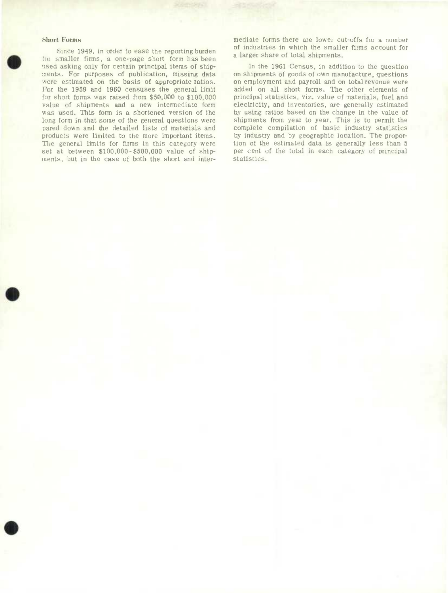#### **Short Forms**

**S** 

.

Since 1949, in order to ease the reporting burden for smaller firms, a one-page short form has been used asking only for certain principal items of shipments. For purposes of publication, missing data were estimated on the basis of appropriate ratios. For the 1959 and 1960 censuses the general limit for short forms was raised from \$50,000 to \$100,000 value of shipments and a new intermediate form was used. This form is a shortened version of the long form in that some of the general questions were pared down and the detailed lists of materials and products were limited to the more important items. The general limits for firms in this category were set at between \$100,000-\$500,000 value of shipments, but in the case of both the short and intermediate forms there are lower cut-offs for a number of industries in which the smaller firms account for a larger share of total shipments.

In the 1961 Census, in addition to the question on shipments of goods of own manufacture, questions on employment and payroll and on total revenue were added on all short forms. The other elements of principal statistics, viz, value of materials, fuel and electricity, and inventories, are generally estimated by using ratios based on the change in the value of shipments from year to year. This is to permit the complete compilation of basic industry statistics by industry and by geographic location. The proportion of the estimated data is generally less than 5 per cent of the total in each category of principal statistics.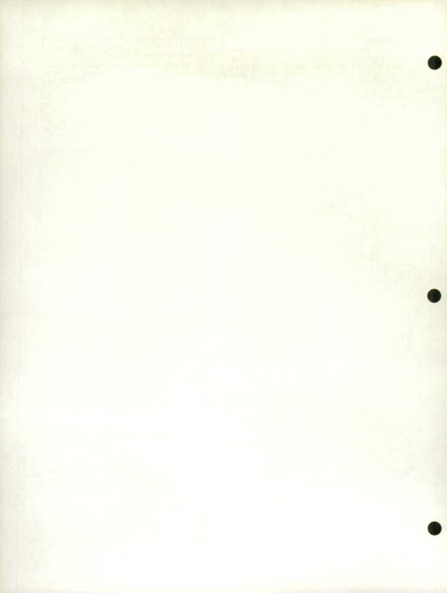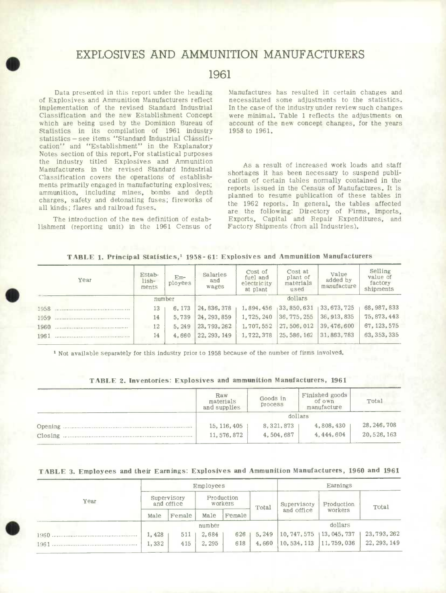# **EXPLOSIVES AND AMMUNITION MANUFACTURERS**

# **1961**

Data presented in this report under the heading of Explosives and Ammunition Manufacturers reflect implementation of the revised Standard Industrial Classification and the new Establishment Concept which are being used by the Dominion Bureau of Statistics in its compilation of 1961 industry statistics - see items "Standard Industrial Clássification" and "Establishment" in the Explanatory Notes section of this report. For statistical purposes the industry titled Explosives and Ammunition Manufacturers In the revised Standard Industrial Classification covers the operations of establishments primarily engaged in manufacturing explosives; ammunition, Including mines, bombs and depth charges, safety and detonating fuses; fireworks of all kinds; flares and railroad fuses.

The introduction of the new definition of establishment (reporting unit) in the 1961 Census of Manufactures has resulted in certain changes and necessitated some adjustments to the statistics. In the case of the industry under review such changes were minimal. Table 1 reflects the adjustments on account of the new concept changes, for the years 1958 to 1961.

As a result of increased work loads and staff shortages it has been necessary to suspend publication of certain tables normally contained in the reports issued in the Census of Manufactures. It is planned to resume publication of these tables in the 1962 reports. In general, the tables affected are the following: Directory of Firms, Imports, Exports, Capital and Repair Expenditures, and Factory Shipments (from all Industries).

#### **TABLE 1. Principal Statistics,' 1958-61: Explosives and Ammunition Manufacturers**

|      | Year                                  | Estab-<br>$lish-$<br>ments | $Em-$<br>ployees | Salaries<br>and<br>wages | Cost of<br>fuel and<br>electricity<br>at plant | Cost at<br>plant of<br>materials<br>used | Value<br>added by<br>manufacture | Selling<br>value of<br>factory<br>shipments |
|------|---------------------------------------|----------------------------|------------------|--------------------------|------------------------------------------------|------------------------------------------|----------------------------------|---------------------------------------------|
|      |                                       |                            | number           |                          |                                                | dollars                                  |                                  |                                             |
| 1958 |                                       | 13                         | 6.173            | 24, 836, 378             | 1,894,456                                      | 133,850,631                              | 33, 673, 725                     | 68, 987, 833                                |
| 1959 |                                       | 14                         | 5.739            | 24, 293, 859             | 1,725,240                                      | 36, 775, 255                             | 36, 913, 835                     | 75,873,443                                  |
| 1960 |                                       | 12                         | 5.249            | 23, 793, 262             | 1,707,552                                      | 27,506,012                               | 39.476.600                       | 67, 123, 575                                |
| 1961 | ------------------------------------- | 14                         | 4,660            | 22, 293, 149             | 1,722,378                                      | 25, 586, 162                             | 31,863,783                       | 63, 353, 335                                |

<sup>1</sup> Not available separately for this industry prior to 1958 because of the number of firms involved.

|  |  |  |  |  | TABLE 2. Inventories: Explosives and ammunition Manufacturers, 1961 |  |
|--|--|--|--|--|---------------------------------------------------------------------|--|
|--|--|--|--|--|---------------------------------------------------------------------|--|

|         | Raw<br>materials<br>and supplies | Goods in<br>process      | Finished goods<br>of own<br>manufacture | Total                      |
|---------|----------------------------------|--------------------------|-----------------------------------------|----------------------------|
|         |                                  |                          | dollars                                 |                            |
| Closing | 15, 116, 405<br>11,576,872       | 8, 321, 873<br>4,504,687 | 4,808,430<br>4, 444, 604                | 28, 246, 708<br>20,526,163 |

#### **TABLE 3. Employees and their Earnings: Explosives and Ammunition Manufacturers, 1960 and 1961**

|  | Year | Employees                 |        |                       |        |       | Earnings                    |            |              |
|--|------|---------------------------|--------|-----------------------|--------|-------|-----------------------------|------------|--------------|
|  |      | Supervisory<br>and office |        | Production<br>workers |        | Total | Supervisory                 | Production | Total        |
|  |      | Male                      | Female | Male                  | Female |       | and office                  | workers    |              |
|  |      |                           |        | number                |        |       |                             | dollars    |              |
|  |      | 1,428                     | 511    | 2,684                 | 626    | 5.249 | 10, 747, 575   13, 045, 737 |            | 23,793,262   |
|  | 1961 | 1,332                     | 415    | 2.295                 | 618    | 4,660 | 10, 534, 113                | 11,759,036 | 22, 293, 149 |



 $\bullet$ 

**.**